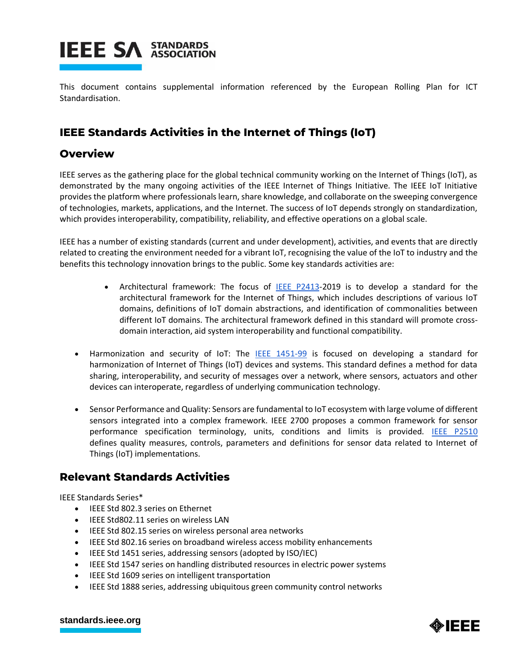

This document contains supplemental information referenced by the European Rolling Plan for ICT Standardisation.

## **IEEE Standards Activities in the Internet of Things (IoT)**

### **Overview**

IEEE serves as the gathering place for the global technical community working on the Internet of Things (IoT), as demonstrated by the many ongoing activities of the IEEE Internet of Things Initiative. The IEEE IoT Initiative provides the platform where professionals learn, share knowledge, and collaborate on the sweeping convergence of technologies, markets, applications, and the Internet. The success of IoT depends strongly on standardization, which provides interoperability, compatibility, reliability, and effective operations on a global scale.

IEEE has a number of existing standards (current and under development), activities, and events that are directly related to creating the environment needed for a vibrant IoT, recognising the value of the IoT to industry and the benefits this technology innovation brings to the public. Some key standards activities are:

- Architectural framework: The focus of [IEEE P2413-](http://standards.ieee.org/develop/project/2413.html)2019 is to develop a standard for the architectural framework for the Internet of Things, which includes descriptions of various IoT domains, definitions of IoT domain abstractions, and identification of commonalities between different IoT domains. The architectural framework defined in this standard will promote crossdomain interaction, aid system interoperability and functional compatibility.
- Harmonization and security of IoT: The [IEEE 1451-99](http://standards.ieee.org/develop/project/1451-99.html) is focused on developing a standard for harmonization of Internet of Things (IoT) devices and systems. This standard defines a method for data sharing, interoperability, and security of messages over a network, where sensors, actuators and other devices can interoperate, regardless of underlying communication technology.
- Sensor Performance and Quality: Sensors are fundamental to IoT ecosystem with large volume of different sensors integrated into a complex framework. IEEE 2700 proposes a common framework for sensor performance specification terminology, units, conditions and limits is provided. [IEEE P2510](http://standards.ieee.org/develop/project/2510.html) defines quality measures, controls, parameters and definitions for sensor data related to Internet of Things (IoT) implementations.

## **Relevant Standards Activities**

IEEE Standards Series\*

- IEEE Std 802.3 series on Ethernet
- IEEE Std802.11 series on wireless LAN
- IEEE Std 802.15 series on wireless personal area networks
- IEEE Std 802.16 series on broadband wireless access mobility enhancements
- IEEE Std 1451 series, addressing sensors (adopted by ISO/IEC)
- IEEE Std 1547 series on handling distributed resources in electric power systems
- IEEE Std 1609 series on intelligent transportation
- IEEE Std 1888 series, addressing ubiquitous green community control networks

#### **[standards.ieee.org](http://standards.ieee.org/)**

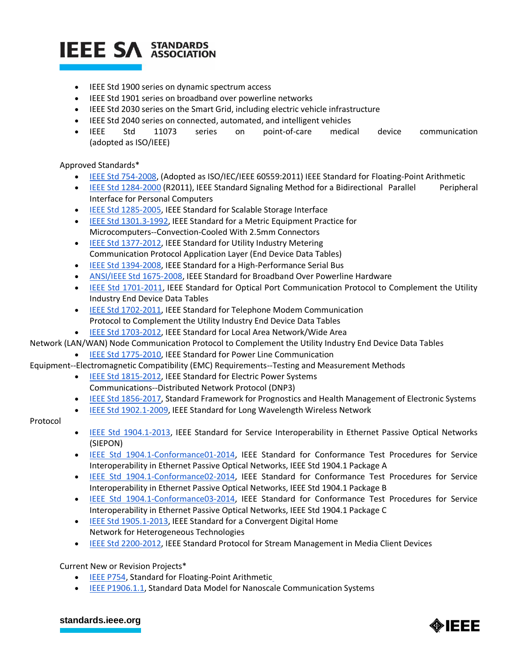

- IEEE Std 1900 series on dynamic spectrum access
- IEEE Std 1901 series on broadband over powerline networks
- IEEE Std 2030 series on the Smart Grid, including electric vehicle infrastructure
- IEEE Std 2040 series on connected, automated, and intelligent vehicles
- IEEE Std 11073 series on point-of-care medical device communication (adopted as ISO/IEEE)

#### Approved Standards\*

- [IEEE Std 754-2008,](http://standards.ieee.org/findstds/standard/754-2008.html) (Adopted as ISO/IEC/IEEE 60559:2011) IEEE Standard for Floating-Point Arithmetic
- [IEEE Std 1284-2000](http://standards.ieee.org/findstds/standard/1284-2000.html) (R2011), IEEE Standard Signaling Method for a Bidirectional Parallel Peripheral Interface for Personal Computers
- [IEEE Std 1285-2005,](http://standards.ieee.org/findstds/standard/1285-2005.html) IEEE Standard for Scalable Storage Interface
- [IEEE Std 1301.3-1992,](http://standards.ieee.org/findstds/standard/1301.3-1992.html) IEEE Standard for a Metric Equipment Practice for Microcomputers--Convection-Cooled With 2.5mm Connectors
- [IEEE Std 1377-2012,](http://standards.ieee.org/findstds/standard/1377-2012.html) IEEE Standard for Utility Industry Metering Communication Protocol Application Layer (End Device Data Tables)
- [IEEE Std 1394-2008,](http://standards.ieee.org/findstds/standard/1394-2008.html) IEEE Standard for a High-Performance Serial Bus
- [ANSI/IEEE Std 1675-2008,](http://standards.ieee.org/findstds/standard/1675-2008.html) IEEE Standard for Broadband Over Powerline Hardware
- [IEEE Std 1701-2011,](http://standards.ieee.org/findstds/standard/1701-2011.html) IEEE Standard for Optical Port Communication Protocol to Complement the Utility Industry End Device Data Tables
- **[IEEE Std 1702-2011,](http://standards.ieee.org/findstds/standard/1702-2011.html) IEEE Standard for Telephone Modem Communication** Protocol to Complement the Utility Industry End Device Data Tables
- [IEEE Std 1703-2012,](http://standards.ieee.org/findstds/standard/1703-2012.html) IEEE Standard for Local Area Network/Wide Area

Network (LAN/WAN) Node Communication Protocol to Complement the Utility Industry End Device Data Tables

[IEEE Std 1775-2010,](http://standards.ieee.org/findstds/standard/1775-2010.html) IEEE Standard for Power Line Communication

Equipment--Electromagnetic Compatibility (EMC) Requirements--Testing and Measurement Methods

- **[IEEE Std 1815-2012,](http://standards.ieee.org/findstds/standard/1815-2012.html) IEEE Standard for Electric Power Systems** Communications--Distributed Network Protocol (DNP3)
- [IEEE Std 1856-2017,](http://standards.ieee.org/findstds/standard/1856-2017.html) Standard Framework for Prognostics and Health Management of Electronic Systems
- **[IEEE Std 1902.1-2009,](http://standards.ieee.org/findstds/standard/1902.1-2009.html) IEEE Standard for Long Wavelength Wireless Network**

#### Protocol

- [IEEE Std 1904.1-2013,](http://standards.ieee.org/findstds/standard/1904.1-2013.html) IEEE Standard for Service Interoperability in Ethernet Passive Optical Networks (SIEPON)
- [IEEE Std 1904.1-Conformance01-2014,](http://standards.ieee.org/findstds/standard/1904.1-Conformance01-2014.html) IEEE Standard for Conformance Test Procedures for Service Interoperability in Ethernet Passive Optical Networks, IEEE Std 1904.1 Package A
- [IEEE Std 1904.1-Conformance02-2014,](http://standards.ieee.org/findstds/standard/1904.1-Conformance02-2014.html) IEEE Standard for Conformance Test Procedures for Service Interoperability in Ethernet Passive Optical Networks, IEEE Std 1904.1 Package B
- [IEEE Std 1904.1-Conformance03-2014,](http://standards.ieee.org/findstds/standard/1904.1-Conformance03-2014.html) IEEE Standard for Conformance Test Procedures for Service Interoperability in Ethernet Passive Optical Networks, IEEE Std 1904.1 Package C
- [IEEE Std 1905.1-2013,](http://standards.ieee.org/findstds/standard/1905.1-2013.html) IEEE Standard for a Convergent Digital Home Network for Heterogeneous Technologies
- [IEEE Std 2200-2012,](http://standards.ieee.org/findstds/standard/2200-2012.html) IEEE Standard Protocol for Stream Management in Media Client Devices

Current New or Revision Projects\*

- **[IEEE P754,](http://standards.ieee.org/develop/project/754.html) Standard for Floating-Point Arithmeti[c](http://standards.ieee.org/develop/project/754.html)**
- [IEEE P1906.1.1,](http://standards.ieee.org/develop/project/1906.1.1.html) Standard Data Model for Nanoscale Communication Systems

#### **[standards.ieee.org](http://standards.ieee.org/)**

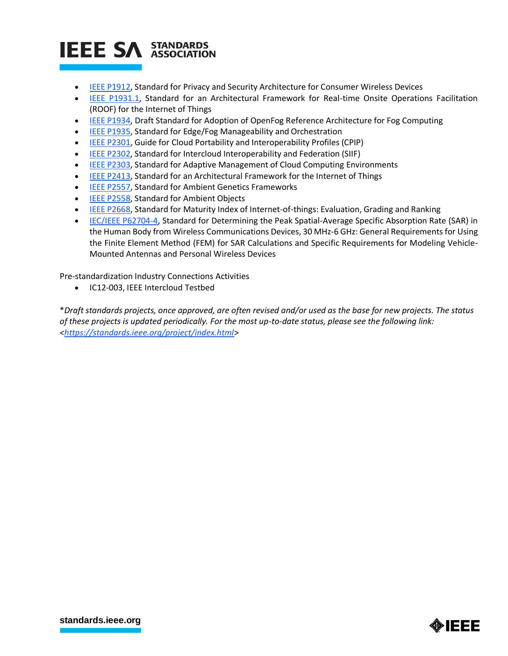# **IEEE SA STANDARDS**

- [IEEE P1912,](http://standards.ieee.org/develop/project/1912.html) Standard for Privacy and Security Architecture for Consumer Wireless Devices
- [IEEE P1931.1,](http://standards.ieee.org/develop/project/1931.1.html) Standard for an Architectural Framework for Real-time Onsite Operations Facilitation (ROOF) for the Internet of Things
- [IEEE P1934,](https://standards.ieee.org/develop/project/1934.html) Draft Standard for Adoption of OpenFog Reference Architecture for Fog Computing
- [IEEE P1935,](https://standards.ieee.org/develop/project/1935.html) Standard for Edge/Fog Manageability and Orchestration
- [IEEE P2301,](http://standards.ieee.org/develop/project/2301.html) Guide for Cloud Portability and Interoperability Profiles (CPIP)
- [IEEE P2302,](http://standards.ieee.org/develop/project/2302.html) Standard for Intercloud Interoperability and Federation (SIIF)
- [IEEE P2303,](http://standards.ieee.org/develop/project/2303.html) Standard for Adaptive Management of Cloud Computing Environments
- **[IEEE P2413,](http://standards.ieee.org/develop/project/2413.html) Standard for an Architectural Framework for the Internet of Things**
- **[IEEE P2557,](http://standards.ieee.org/develop/project/2557.html) Standard for Ambient Genetics Frameworks**
- **[IEEE P2558,](http://standards.ieee.org/develop/project/2558.html) Standard for Ambient Objects**
- **[IEEE P2668,](http://standards.ieee.org/develop/project/2668.html) Standard for Maturity Index of Internet-of-things: Evaluation, Grading and Ranking**
- [IEC/IEEE P62704-4,](http://standards.ieee.org/develop/project/62704-4.html) Standard for Determining the Peak Spatial-Average Specific Absorption Rate (SAR) in the Human Body from Wireless Communications Devices, 30 MHz-6 GHz: General Requirements for Using the Finite Element Method (FEM) for SAR Calculations and Specific Requirements for Modeling Vehicle-Mounted Antennas and Personal Wireless Devices

Pre-standardization Industry Connections Activities

IC12-003, IEEE Intercloud Testbed

\**Draft standards projects, once approved, are often revised and/or used as the base for new projects. The status of these projects is updated periodically. For the most up-to-date status, please see the following link: [<https://standards.ieee.org/project/index.html](https://standards.ieee.org/project/index.html)*>